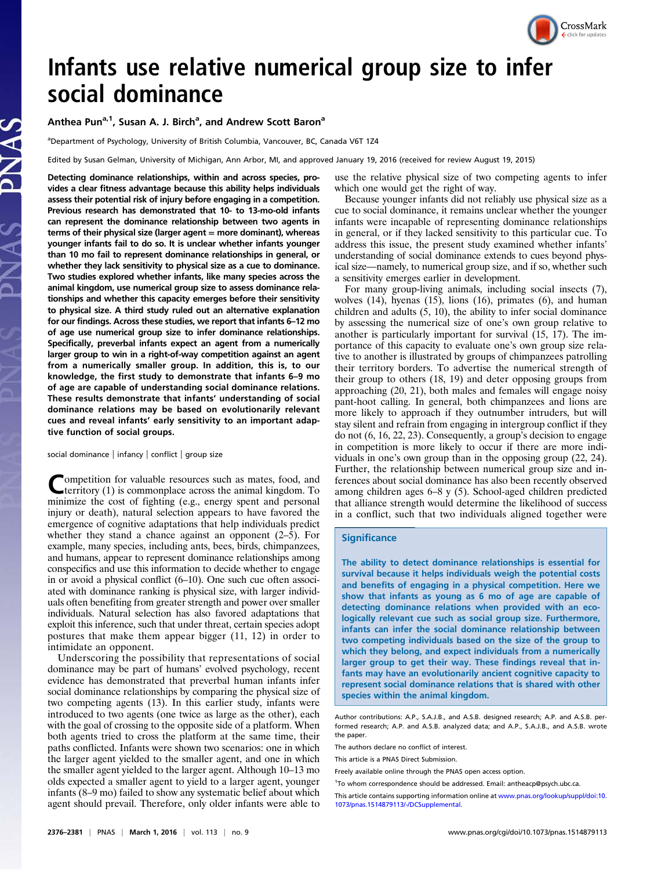

# Infants use relative numerical group size to infer social dominance

# Anthea Pun<sup>a, 1</sup>, Susan A. J. Birch<sup>a</sup>, and Andrew Scott Baron<sup>a</sup>

<sup>a</sup>Department of Psychology, University of British Columbia, Vancouver, BC, Canada V6T 1Z4

Edited by Susan Gelman, University of Michigan, Ann Arbor, MI, and approved January 19, 2016 (received for review August 19, 2015)

Detecting dominance relationships, within and across species, provides a clear fitness advantage because this ability helps individuals assess their potential risk of injury before engaging in a competition. Previous research has demonstrated that 10- to 13-mo-old infants can represent the dominance relationship between two agents in terms of their physical size (larger agent = more dominant), whereas younger infants fail to do so. It is unclear whether infants younger than 10 mo fail to represent dominance relationships in general, or whether they lack sensitivity to physical size as a cue to dominance. Two studies explored whether infants, like many species across the animal kingdom, use numerical group size to assess dominance relationships and whether this capacity emerges before their sensitivity to physical size. A third study ruled out an alternative explanation for our findings. Across these studies, we report that infants 6–12 mo of age use numerical group size to infer dominance relationships. Specifically, preverbal infants expect an agent from a numerically larger group to win in a right-of-way competition against an agent from a numerically smaller group. In addition, this is, to our knowledge, the first study to demonstrate that infants 6–9 mo of age are capable of understanding social dominance relations. These results demonstrate that infants' understanding of social dominance relations may be based on evolutionarily relevant cues and reveal infants' early sensitivity to an important adaptive function of social groups.

social dominance | infancy | conflict | group size

Competition for valuable resources such as mates, food, and territory (1) is commonplace across the animal kingdom. To minimize the cost of fighting (e.g., energy spent and personal injury or death), natural selection appears to have favored the emergence of cognitive adaptations that help individuals predict whether they stand a chance against an opponent (2–5). For example, many species, including ants, bees, birds, chimpanzees, and humans, appear to represent dominance relationships among conspecifics and use this information to decide whether to engage in or avoid a physical conflict (6–10). One such cue often associated with dominance ranking is physical size, with larger individuals often benefiting from greater strength and power over smaller individuals. Natural selection has also favored adaptations that exploit this inference, such that under threat, certain species adopt postures that make them appear bigger (11, 12) in order to intimidate an opponent.

Underscoring the possibility that representations of social dominance may be part of humans' evolved psychology, recent evidence has demonstrated that preverbal human infants infer social dominance relationships by comparing the physical size of two competing agents (13). In this earlier study, infants were introduced to two agents (one twice as large as the other), each with the goal of crossing to the opposite side of a platform. When both agents tried to cross the platform at the same time, their paths conflicted. Infants were shown two scenarios: one in which the larger agent yielded to the smaller agent, and one in which the smaller agent yielded to the larger agent. Although 10–13 mo olds expected a smaller agent to yield to a larger agent, younger infants (8–9 mo) failed to show any systematic belief about which agent should prevail. Therefore, only older infants were able to use the relative physical size of two competing agents to infer which one would get the right of way.

Because younger infants did not reliably use physical size as a cue to social dominance, it remains unclear whether the younger infants were incapable of representing dominance relationships in general, or if they lacked sensitivity to this particular cue. To address this issue, the present study examined whether infants' understanding of social dominance extends to cues beyond physical size—namely, to numerical group size, and if so, whether such a sensitivity emerges earlier in development.

For many group-living animals, including social insects (7), wolves (14), hyenas (15), lions (16), primates (6), and human children and adults (5, 10), the ability to infer social dominance by assessing the numerical size of one's own group relative to another is particularly important for survival (15, 17). The importance of this capacity to evaluate one's own group size relative to another is illustrated by groups of chimpanzees patrolling their territory borders. To advertise the numerical strength of their group to others (18, 19) and deter opposing groups from approaching (20, 21), both males and females will engage noisy pant-hoot calling. In general, both chimpanzees and lions are more likely to approach if they outnumber intruders, but will stay silent and refrain from engaging in intergroup conflict if they do not (6, 16, 22, 23). Consequently, a group's decision to engage in competition is more likely to occur if there are more individuals in one's own group than in the opposing group (22, 24). Further, the relationship between numerical group size and inferences about social dominance has also been recently observed among children ages 6–8 y (5). School-aged children predicted that alliance strength would determine the likelihood of success in a conflict, such that two individuals aligned together were

#### **Significance**

The ability to detect dominance relationships is essential for survival because it helps individuals weigh the potential costs and benefits of engaging in a physical competition. Here we show that infants as young as 6 mo of age are capable of detecting dominance relations when provided with an ecologically relevant cue such as social group size. Furthermore, infants can infer the social dominance relationship between two competing individuals based on the size of the group to which they belong, and expect individuals from a numerically larger group to get their way. These findings reveal that infants may have an evolutionarily ancient cognitive capacity to represent social dominance relations that is shared with other species within the animal kingdom.

Author contributions: A.P., S.A.J.B., and A.S.B. designed research; A.P. and A.S.B. performed research; A.P. and A.S.B. analyzed data; and A.P., S.A.J.B., and A.S.B. wrote the paper.

The authors declare no conflict of interest.

<sup>1</sup>To whom correspondence should be addressed. Email: [antheacp@psych.ubc.ca](mailto:antheacp@psych.ubc.ca).

This article contains supporting information online at [www.pnas.org/lookup/suppl/doi:10.](http://www.pnas.org/lookup/suppl/doi:10.1073/pnas.1514879113/-/DCSupplemental) [1073/pnas.1514879113/-/DCSupplemental.](http://www.pnas.org/lookup/suppl/doi:10.1073/pnas.1514879113/-/DCSupplemental)

This article is a PNAS Direct Submission.

Freely available online through the PNAS open access option.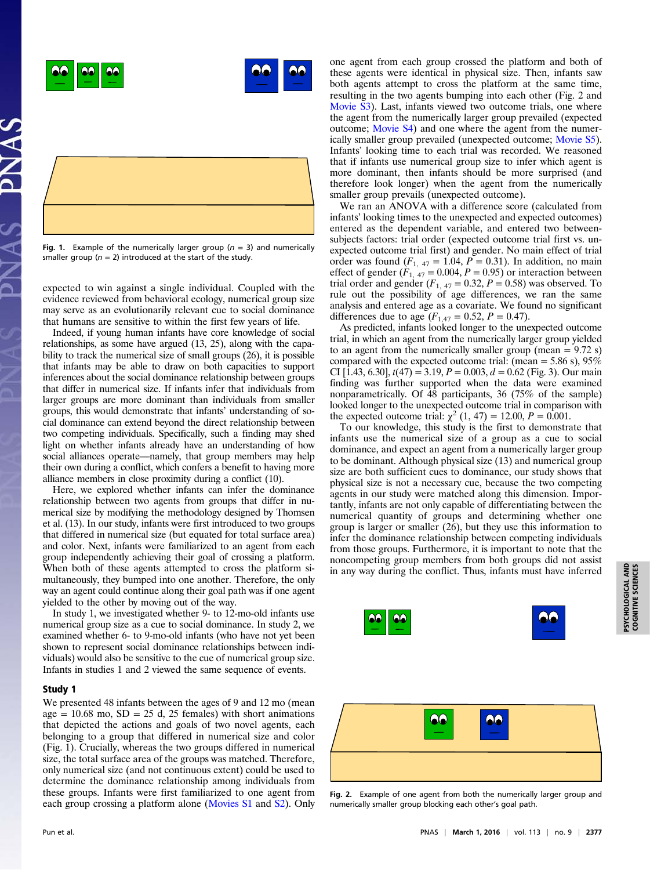



Fig. 1. Example of the numerically larger group ( $n = 3$ ) and numerically smaller group ( $n = 2$ ) introduced at the start of the study.

expected to win against a single individual. Coupled with the evidence reviewed from behavioral ecology, numerical group size may serve as an evolutionarily relevant cue to social dominance that humans are sensitive to within the first few years of life.

Indeed, if young human infants have core knowledge of social relationships, as some have argued (13, 25), along with the capability to track the numerical size of small groups (26), it is possible that infants may be able to draw on both capacities to support inferences about the social dominance relationship between groups that differ in numerical size. If infants infer that individuals from larger groups are more dominant than individuals from smaller groups, this would demonstrate that infants' understanding of social dominance can extend beyond the direct relationship between two competing individuals. Specifically, such a finding may shed light on whether infants already have an understanding of how social alliances operate—namely, that group members may help their own during a conflict, which confers a benefit to having more alliance members in close proximity during a conflict (10).

Here, we explored whether infants can infer the dominance relationship between two agents from groups that differ in numerical size by modifying the methodology designed by Thomsen et al. (13). In our study, infants were first introduced to two groups that differed in numerical size (but equated for total surface area) and color. Next, infants were familiarized to an agent from each group independently achieving their goal of crossing a platform. When both of these agents attempted to cross the platform simultaneously, they bumped into one another. Therefore, the only way an agent could continue along their goal path was if one agent yielded to the other by moving out of the way.

In study 1, we investigated whether 9- to 12-mo-old infants use numerical group size as a cue to social dominance. In study 2, we examined whether 6- to 9-mo-old infants (who have not yet been shown to represent social dominance relationships between individuals) would also be sensitive to the cue of numerical group size. Infants in studies 1 and 2 viewed the same sequence of events.

## Study 1

We presented 48 infants between the ages of 9 and 12 mo (mean age =  $10.68$  mo,  $SD = 25$  d,  $25$  females) with short animations that depicted the actions and goals of two novel agents, each belonging to a group that differed in numerical size and color (Fig. 1). Crucially, whereas the two groups differed in numerical size, the total surface area of the groups was matched. Therefore, only numerical size (and not continuous extent) could be used to determine the dominance relationship among individuals from these groups. Infants were first familiarized to one agent from each group crossing a platform alone ([Movies S1](http://movie-usa.glencoesoftware.com/video/10.1073/pnas.1514879113/video-1) and [S2\)](http://movie-usa.glencoesoftware.com/video/10.1073/pnas.1514879113/video-2). Only

one agent from each group crossed the platform and both of these agents were identical in physical size. Then, infants saw both agents attempt to cross the platform at the same time, resulting in the two agents bumping into each other (Fig. 2 and [Movie S3\)](http://movie-usa.glencoesoftware.com/video/10.1073/pnas.1514879113/video-3). Last, infants viewed two outcome trials, one where the agent from the numerically larger group prevailed (expected outcome; [Movie S4\)](http://movie-usa.glencoesoftware.com/video/10.1073/pnas.1514879113/video-4) and one where the agent from the numerically smaller group prevailed (unexpected outcome; [Movie S5](http://movie-usa.glencoesoftware.com/video/10.1073/pnas.1514879113/video-5)). Infants' looking time to each trial was recorded. We reasoned that if infants use numerical group size to infer which agent is more dominant, then infants should be more surprised (and therefore look longer) when the agent from the numerically smaller group prevails (unexpected outcome).

We ran an ANOVA with a difference score (calculated from infants' looking times to the unexpected and expected outcomes) entered as the dependent variable, and entered two betweensubjects factors: trial order (expected outcome trial first vs. unexpected outcome trial first) and gender. No main effect of trial order was found  $(F_{1, 47} = 1.04, P = 0.31)$ . In addition, no main effect of gender  $(F_{1, 47} = 0.004, P = 0.95)$  or interaction between trial order and gender  $(F_{1, 47} = 0.32, P = 0.58)$  was observed. To rule out the possibility of age differences, we ran the same analysis and entered age as a covariate. We found no significant differences due to age  $(F_{1,47} = 0.52, P = 0.47)$ .

As predicted, infants looked longer to the unexpected outcome trial, in which an agent from the numerically larger group yielded to an agent from the numerically smaller group (mean  $= 9.72$  s) compared with the expected outcome trial: (mean  $=$  5.86 s), 95% CI [1.43, 6.30],  $t(47) = 3.19$ ,  $P = 0.003$ ,  $d = 0.62$  (Fig. 3). Our main finding was further supported when the data were examined nonparametrically. Of 48 participants, 36 (75% of the sample) looked longer to the unexpected outcome trial in comparison with the expected outcome trial:  $\chi^2$  (1, 47) = 12.00, P = 0.001.

To our knowledge, this study is the first to demonstrate that infants use the numerical size of a group as a cue to social dominance, and expect an agent from a numerically larger group to be dominant. Although physical size (13) and numerical group size are both sufficient cues to dominance, our study shows that physical size is not a necessary cue, because the two competing agents in our study were matched along this dimension. Importantly, infants are not only capable of differentiating between the numerical quantity of groups and determining whether one group is larger or smaller (26), but they use this information to infer the dominance relationship between competing individuals from those groups. Furthermore, it is important to note that the noncompeting group members from both groups did not assist in any way during the conflict. Thus, infants must have inferred





Fig. 2. Example of one agent from both the numerically larger group and numerically smaller group blocking each other's goal path.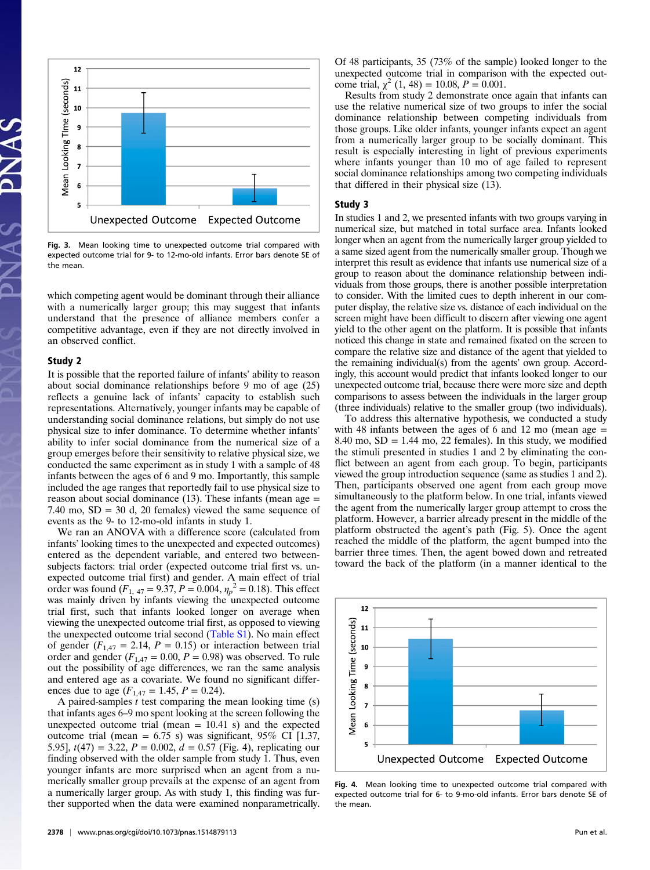

Fig. 3. Mean looking time to unexpected outcome trial compared with expected outcome trial for 9- to 12-mo-old infants. Error bars denote SE of the mean.

which competing agent would be dominant through their alliance with a numerically larger group; this may suggest that infants understand that the presence of alliance members confer a competitive advantage, even if they are not directly involved in an observed conflict.

#### Study 2

It is possible that the reported failure of infants' ability to reason about social dominance relationships before 9 mo of age (25) reflects a genuine lack of infants' capacity to establish such representations. Alternatively, younger infants may be capable of understanding social dominance relations, but simply do not use physical size to infer dominance. To determine whether infants' ability to infer social dominance from the numerical size of a group emerges before their sensitivity to relative physical size, we conducted the same experiment as in study 1 with a sample of 48 infants between the ages of 6 and 9 mo. Importantly, this sample included the age ranges that reportedly fail to use physical size to reason about social dominance  $(13)$ . These infants (mean age  $=$ 7.40 mo,  $SD = 30$  d, 20 females) viewed the same sequence of events as the 9- to 12-mo-old infants in study 1.

We ran an ANOVA with a difference score (calculated from infants' looking times to the unexpected and expected outcomes) entered as the dependent variable, and entered two betweensubjects factors: trial order (expected outcome trial first vs. unexpected outcome trial first) and gender. A main effect of trial order was found  $(F_{1, 47} = 9.37, P = 0.004, \eta_p^2 = 0.18)$ . This effect was mainly driven by infants viewing the unexpected outcome trial first, such that infants looked longer on average when viewing the unexpected outcome trial first, as opposed to viewing the unexpected outcome trial second [\(Table S1\)](http://www.pnas.org/lookup/suppl/doi:10.1073/pnas.1514879113/-/DCSupplemental/pnas.201514879SI.pdf?targetid=nameddest=ST1). No main effect of gender  $(F_{1,47} = 2.14, P = 0.15)$  or interaction between trial order and gender  $(F_{1,47} = 0.00, P = 0.98)$  was observed. To rule out the possibility of age differences, we ran the same analysis and entered age as a covariate. We found no significant differences due to age  $(F_{1,47} = 1.45, P = 0.24)$ .

A paired-samples  $t$  test comparing the mean looking time  $(s)$ that infants ages 6–9 mo spent looking at the screen following the unexpected outcome trial (mean  $= 10.41$  s) and the expected outcome trial (mean =  $6.75$  s) was significant, 95% CI [1.37, 5.95],  $t(47) = 3.22$ ,  $P = 0.002$ ,  $d = 0.57$  (Fig. 4), replicating our finding observed with the older sample from study 1. Thus, even younger infants are more surprised when an agent from a numerically smaller group prevails at the expense of an agent from a numerically larger group. As with study 1, this finding was further supported when the data were examined nonparametrically.

Of 48 participants, 35 (73% of the sample) looked longer to the unexpected outcome trial in comparison with the expected outcome trial,  $\chi^2$  (1, 48) = 10.08, P = 0.001.

Results from study 2 demonstrate once again that infants can use the relative numerical size of two groups to infer the social dominance relationship between competing individuals from those groups. Like older infants, younger infants expect an agent from a numerically larger group to be socially dominant. This result is especially interesting in light of previous experiments where infants younger than 10 mo of age failed to represent social dominance relationships among two competing individuals that differed in their physical size (13).

#### Study 3

In studies 1 and 2, we presented infants with two groups varying in numerical size, but matched in total surface area. Infants looked longer when an agent from the numerically larger group yielded to a same sized agent from the numerically smaller group. Though we interpret this result as evidence that infants use numerical size of a group to reason about the dominance relationship between individuals from those groups, there is another possible interpretation to consider. With the limited cues to depth inherent in our computer display, the relative size vs. distance of each individual on the screen might have been difficult to discern after viewing one agent yield to the other agent on the platform. It is possible that infants noticed this change in state and remained fixated on the screen to compare the relative size and distance of the agent that yielded to the remaining individual(s) from the agents' own group. Accordingly, this account would predict that infants looked longer to our unexpected outcome trial, because there were more size and depth comparisons to assess between the individuals in the larger group (three individuals) relative to the smaller group (two individuals).

To address this alternative hypothesis, we conducted a study with 48 infants between the ages of 6 and 12 mo (mean age  $=$ 8.40 mo,  $SD = 1.44$  mo, 22 females). In this study, we modified the stimuli presented in studies 1 and 2 by eliminating the conflict between an agent from each group. To begin, participants viewed the group introduction sequence (same as studies 1 and 2). Then, participants observed one agent from each group move simultaneously to the platform below. In one trial, infants viewed the agent from the numerically larger group attempt to cross the platform. However, a barrier already present in the middle of the platform obstructed the agent's path (Fig. 5). Once the agent reached the middle of the platform, the agent bumped into the barrier three times. Then, the agent bowed down and retreated toward the back of the platform (in a manner identical to the



Fig. 4. Mean looking time to unexpected outcome trial compared with expected outcome trial for 6- to 9-mo-old infants. Error bars denote SE of the mean.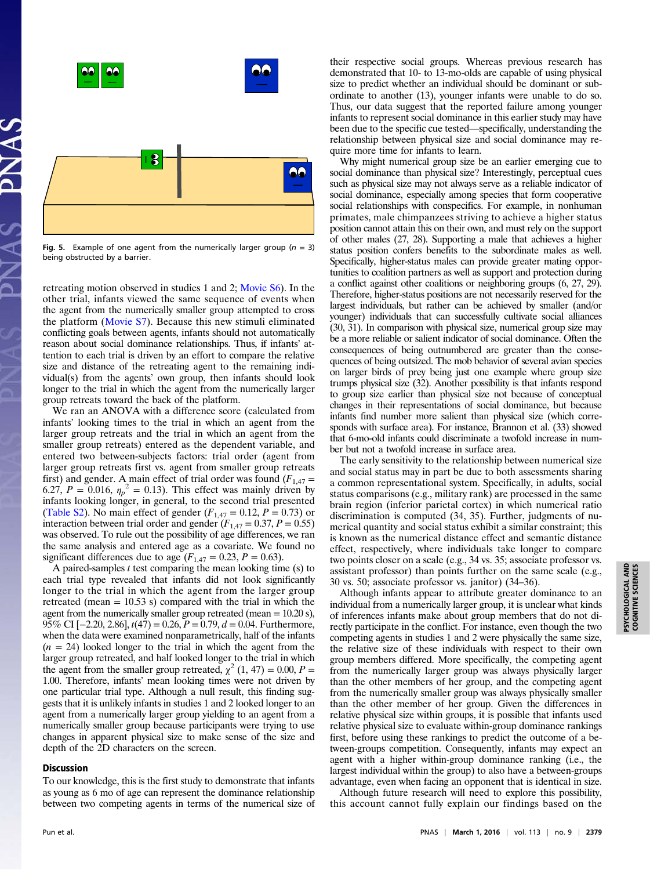

Fig. 5. Example of one agent from the numerically larger group ( $n = 3$ ) being obstructed by a barrier.

retreating motion observed in studies 1 and 2; [Movie S6](http://movie-usa.glencoesoftware.com/video/10.1073/pnas.1514879113/video-6)). In the other trial, infants viewed the same sequence of events when the agent from the numerically smaller group attempted to cross the platform ([Movie S7](http://movie-usa.glencoesoftware.com/video/10.1073/pnas.1514879113/video-7)). Because this new stimuli eliminated conflicting goals between agents, infants should not automatically reason about social dominance relationships. Thus, if infants' attention to each trial is driven by an effort to compare the relative size and distance of the retreating agent to the remaining individual(s) from the agents' own group, then infants should look longer to the trial in which the agent from the numerically larger group retreats toward the back of the platform.

We ran an ANOVA with a difference score (calculated from infants' looking times to the trial in which an agent from the larger group retreats and the trial in which an agent from the smaller group retreats) entered as the dependent variable, and entered two between-subjects factors: trial order (agent from larger group retreats first vs. agent from smaller group retreats first) and gender. A main effect of trial order was found  $(F_{1,47} =$ 6.27,  $P = 0.016$ ,  $\eta_p^2 = 0.13$ ). This effect was mainly driven by infants looking longer, in general, to the second trial presented ([Table S2\)](http://www.pnas.org/lookup/suppl/doi:10.1073/pnas.1514879113/-/DCSupplemental/pnas.201514879SI.pdf?targetid=nameddest=ST2). No main effect of gender  $(F_{1,47} = 0.12, P = 0.73)$  or interaction between trial order and gender  $(F_{1,47} = 0.37, P = 0.55)$ was observed. To rule out the possibility of age differences, we ran the same analysis and entered age as a covariate. We found no significant differences due to age  $(F_{1,47} = 0.23, P = 0.63)$ .

A paired-samples  $t$  test comparing the mean looking time (s) to each trial type revealed that infants did not look significantly longer to the trial in which the agent from the larger group retreated (mean  $= 10.53$  s) compared with the trial in which the agent from the numerically smaller group retreated (mean  $= 10.20$  s), 95% CI [-2.20, 2.86],  $t(47) = 0.26$ ,  $P = 0.79$ ,  $d = 0.04$ . Furthermore, when the data were examined nonparametrically, half of the infants  $(n = 24)$  looked longer to the trial in which the agent from the larger group retreated, and half looked longer to the trial in which the agent from the smaller group retreated,  $\chi^2$  (1, 47) = 0.00, P = 1.00. Therefore, infants' mean looking times were not driven by one particular trial type. Although a null result, this finding suggests that it is unlikely infants in studies 1 and 2 looked longer to an agent from a numerically larger group yielding to an agent from a numerically smaller group because participants were trying to use changes in apparent physical size to make sense of the size and depth of the 2D characters on the screen.

## Discussion

To our knowledge, this is the first study to demonstrate that infants as young as 6 mo of age can represent the dominance relationship between two competing agents in terms of the numerical size of their respective social groups. Whereas previous research has demonstrated that 10- to 13-mo-olds are capable of using physical size to predict whether an individual should be dominant or subordinate to another (13), younger infants were unable to do so. Thus, our data suggest that the reported failure among younger infants to represent social dominance in this earlier study may have been due to the specific cue tested—specifically, understanding the relationship between physical size and social dominance may require more time for infants to learn.

Why might numerical group size be an earlier emerging cue to social dominance than physical size? Interestingly, perceptual cues such as physical size may not always serve as a reliable indicator of social dominance, especially among species that form cooperative social relationships with conspecifics. For example, in nonhuman primates, male chimpanzees striving to achieve a higher status position cannot attain this on their own, and must rely on the support of other males (27, 28). Supporting a male that achieves a higher status position confers benefits to the subordinate males as well. Specifically, higher-status males can provide greater mating opportunities to coalition partners as well as support and protection during a conflict against other coalitions or neighboring groups (6, 27, 29). Therefore, higher-status positions are not necessarily reserved for the largest individuals, but rather can be achieved by smaller (and/or younger) individuals that can successfully cultivate social alliances (30, 31). In comparison with physical size, numerical group size may be a more reliable or salient indicator of social dominance. Often the consequences of being outnumbered are greater than the consequences of being outsized. The mob behavior of several avian species on larger birds of prey being just one example where group size trumps physical size (32). Another possibility is that infants respond to group size earlier than physical size not because of conceptual changes in their representations of social dominance, but because infants find number more salient than physical size (which corresponds with surface area). For instance, Brannon et al. (33) showed that 6-mo-old infants could discriminate a twofold increase in number but not a twofold increase in surface area.

The early sensitivity to the relationship between numerical size and social status may in part be due to both assessments sharing a common representational system. Specifically, in adults, social status comparisons (e.g., military rank) are processed in the same brain region (inferior parietal cortex) in which numerical ratio discrimination is computed (34, 35). Further, judgments of numerical quantity and social status exhibit a similar constraint; this is known as the numerical distance effect and semantic distance effect, respectively, where individuals take longer to compare two points closer on a scale (e.g., 34 vs. 35; associate professor vs. assistant professor) than points further on the same scale (e.g., 30 vs. 50; associate professor vs. janitor) (34–36).

Although infants appear to attribute greater dominance to an individual from a numerically larger group, it is unclear what kinds of inferences infants make about group members that do not directly participate in the conflict. For instance, even though the two competing agents in studies 1 and 2 were physically the same size, the relative size of these individuals with respect to their own group members differed. More specifically, the competing agent from the numerically larger group was always physically larger than the other members of her group, and the competing agent from the numerically smaller group was always physically smaller than the other member of her group. Given the differences in relative physical size within groups, it is possible that infants used relative physical size to evaluate within-group dominance rankings first, before using these rankings to predict the outcome of a between-groups competition. Consequently, infants may expect an agent with a higher within-group dominance ranking (i.e., the largest individual within the group) to also have a between-groups advantage, even when facing an opponent that is identical in size.

Although future research will need to explore this possibility, this account cannot fully explain our findings based on the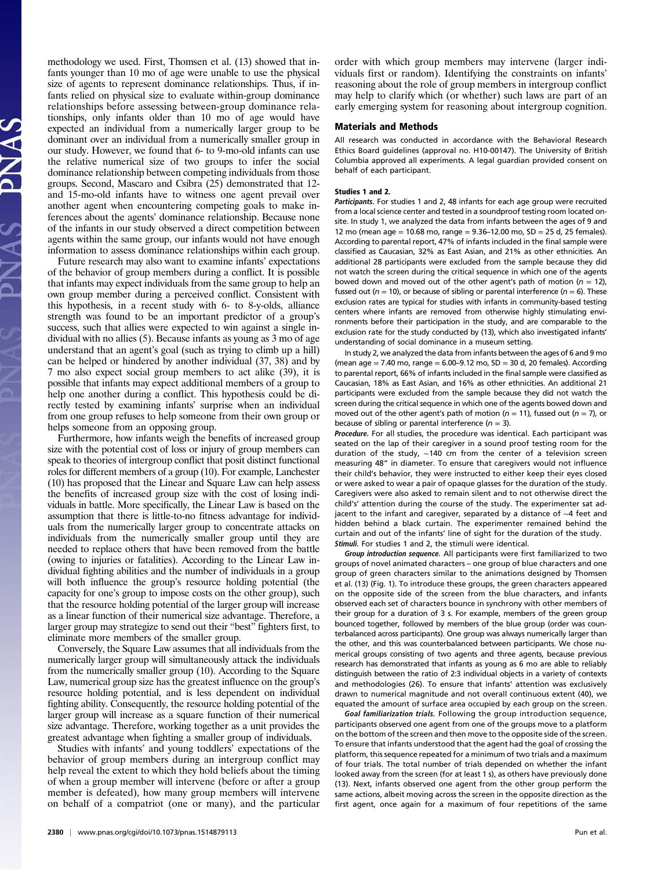methodology we used. First, Thomsen et al. (13) showed that infants younger than 10 mo of age were unable to use the physical size of agents to represent dominance relationships. Thus, if infants relied on physical size to evaluate within-group dominance relationships before assessing between-group dominance relationships, only infants older than 10 mo of age would have expected an individual from a numerically larger group to be dominant over an individual from a numerically smaller group in our study. However, we found that 6- to 9-mo-old infants can use the relative numerical size of two groups to infer the social dominance relationship between competing individuals from those groups. Second, Mascaro and Csibra (25) demonstrated that 12 and 15-mo-old infants have to witness one agent prevail over another agent when encountering competing goals to make inferences about the agents' dominance relationship. Because none of the infants in our study observed a direct competition between agents within the same group, our infants would not have enough information to assess dominance relationships within each group.

Future research may also want to examine infants' expectations of the behavior of group members during a conflict. It is possible that infants may expect individuals from the same group to help an own group member during a perceived conflict. Consistent with this hypothesis, in a recent study with 6- to 8-y-olds, alliance strength was found to be an important predictor of a group's success, such that allies were expected to win against a single individual with no allies (5). Because infants as young as 3 mo of age understand that an agent's goal (such as trying to climb up a hill) can be helped or hindered by another individual (37, 38) and by 7 mo also expect social group members to act alike (39), it is possible that infants may expect additional members of a group to help one another during a conflict. This hypothesis could be directly tested by examining infants' surprise when an individual from one group refuses to help someone from their own group or helps someone from an opposing group.

Furthermore, how infants weigh the benefits of increased group size with the potential cost of loss or injury of group members can speak to theories of intergroup conflict that posit distinct functional roles for different members of a group (10). For example, Lanchester (10) has proposed that the Linear and Square Law can help assess the benefits of increased group size with the cost of losing individuals in battle. More specifically, the Linear Law is based on the assumption that there is little-to-no fitness advantage for individuals from the numerically larger group to concentrate attacks on individuals from the numerically smaller group until they are needed to replace others that have been removed from the battle (owing to injuries or fatalities). According to the Linear Law individual fighting abilities and the number of individuals in a group will both influence the group's resource holding potential (the capacity for one's group to impose costs on the other group), such that the resource holding potential of the larger group will increase as a linear function of their numerical size advantage. Therefore, a larger group may strategize to send out their "best" fighters first, to eliminate more members of the smaller group.

Conversely, the Square Law assumes that all individuals from the numerically larger group will simultaneously attack the individuals from the numerically smaller group (10). According to the Square Law, numerical group size has the greatest influence on the group's resource holding potential, and is less dependent on individual fighting ability. Consequently, the resource holding potential of the larger group will increase as a square function of their numerical size advantage. Therefore, working together as a unit provides the greatest advantage when fighting a smaller group of individuals.

Studies with infants' and young toddlers' expectations of the behavior of group members during an intergroup conflict may help reveal the extent to which they hold beliefs about the timing of when a group member will intervene (before or after a group member is defeated), how many group members will intervene on behalf of a compatriot (one or many), and the particular order with which group members may intervene (larger individuals first or random). Identifying the constraints on infants' reasoning about the role of group members in intergroup conflict may help to clarify which (or whether) such laws are part of an early emerging system for reasoning about intergroup cognition.

#### Materials and Methods

All research was conducted in accordance with the Behavioral Research Ethics Board guidelines (approval no. H10-00147). The University of British Columbia approved all experiments. A legal guardian provided consent on behalf of each participant.

#### Studies 1 and 2.

Participants. For studies 1 and 2, 48 infants for each age group were recruited from a local science center and tested in a soundproof testing room located onsite. In study 1, we analyzed the data from infants between the ages of 9 and 12 mo (mean age = 10.68 mo, range =  $9.36-12.00$  mo,  $SD = 25$  d, 25 females). According to parental report, 47% of infants included in the final sample were classified as Caucasian, 32% as East Asian, and 21% as other ethnicities. An additional 28 participants were excluded from the sample because they did not watch the screen during the critical sequence in which one of the agents bowed down and moved out of the other agent's path of motion ( $n = 12$ ), fussed out ( $n = 10$ ), or because of sibling or parental interference ( $n = 6$ ). These exclusion rates are typical for studies with infants in community-based testing centers where infants are removed from otherwise highly stimulating environments before their participation in the study, and are comparable to the exclusion rate for the study conducted by (13), which also investigated infants' understanding of social dominance in a museum setting.

In study 2, we analyzed the data from infants between the ages of 6 and 9 mo (mean age  $= 7.40$  mo, range  $= 6.00 - 9.12$  mo, SD  $= 30$  d, 20 females). According to parental report, 66% of infants included in the final sample were classified as Caucasian, 18% as East Asian, and 16% as other ethnicities. An additional 21 participants were excluded from the sample because they did not watch the screen during the critical sequence in which one of the agents bowed down and moved out of the other agent's path of motion ( $n = 11$ ), fussed out ( $n = 7$ ), or because of sibling or parental interference ( $n = 3$ ).

Procedure. For all studies, the procedure was identical. Each participant was seated on the lap of their caregiver in a sound proof testing room for the duration of the study, ∼140 cm from the center of a television screen measuring 48" in diameter. To ensure that caregivers would not influence their child's behavior, they were instructed to either keep their eyes closed or were asked to wear a pair of opaque glasses for the duration of the study. Caregivers were also asked to remain silent and to not otherwise direct the child's' attention during the course of the study. The experimenter sat adjacent to the infant and caregiver, separated by a distance of ∼4 feet and hidden behind a black curtain. The experimenter remained behind the curtain and out of the infants' line of sight for the duration of the study. Stimuli. For studies 1 and 2, the stimuli were identical.

Group introduction sequence. All participants were first familiarized to two groups of novel animated characters – one group of blue characters and one group of green characters similar to the animations designed by Thomsen et al. (13) (Fig. 1). To introduce these groups, the green characters appeared on the opposite side of the screen from the blue characters, and infants observed each set of characters bounce in synchrony with other members of their group for a duration of 3 s. For example, members of the green group bounced together, followed by members of the blue group (order was counterbalanced across participants). One group was always numerically larger than the other, and this was counterbalanced between participants. We chose numerical groups consisting of two agents and three agents, because previous research has demonstrated that infants as young as 6 mo are able to reliably distinguish between the ratio of 2:3 individual objects in a variety of contexts and methodologies (26). To ensure that infants' attention was exclusively drawn to numerical magnitude and not overall continuous extent (40), we equated the amount of surface area occupied by each group on the screen.

Goal familiarization trials. Following the group introduction sequence. participants observed one agent from one of the groups move to a platform on the bottom of the screen and then move to the opposite side of the screen. To ensure that infants understood that the agent had the goal of crossing the platform, this sequence repeated for a minimum of two trials and a maximum of four trials. The total number of trials depended on whether the infant looked away from the screen (for at least 1 s), as others have previously done (13). Next, infants observed one agent from the other group perform the same actions, albeit moving across the screen in the opposite direction as the first agent, once again for a maximum of four repetitions of the same